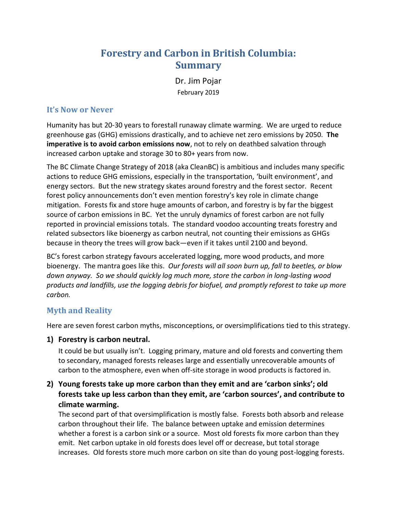# **Forestry and Carbon in British Columbia: Summary**

Dr. Jim Pojar

February 2019

## **It's Now or Never**

Humanity has but 20-30 years to forestall runaway climate warming. We are urged to reduce greenhouse gas (GHG) emissions drastically, and to achieve net zero emissions by 2050. **The imperative is to avoid carbon emissions now**, not to rely on deathbed salvation through increased carbon uptake and storage 30 to 80+ years from now.

The BC Climate Change Strategy of 2018 (aka CleanBC) is ambitious and includes many specific actions to reduce GHG emissions, especially in the transportation, 'built environment', and energy sectors. But the new strategy skates around forestry and the forest sector. Recent forest policy announcements don't even mention forestry's key role in climate change mitigation. Forests fix and store huge amounts of carbon, and forestry is by far the biggest source of carbon emissions in BC. Yet the unruly dynamics of forest carbon are not fully reported in provincial emissions totals. The standard voodoo accounting treats forestry and related subsectors like bioenergy as carbon neutral, not counting their emissions as GHGs because in theory the trees will grow back—even if it takes until 2100 and beyond.

BC's forest carbon strategy favours accelerated logging, more wood products, and more bioenergy. The mantra goes like this. *Our forests will all soon burn up, fall to beetles, or blow down anyway. So we should quickly log much more, store the carbon in long-lasting wood products and landfills, use the logging debris for biofuel, and promptly reforest to take up more carbon.*

## **Myth and Reality**

Here are seven forest carbon myths, misconceptions, or oversimplifications tied to this strategy.

**1) Forestry is carbon neutral.**

It could be but usually isn't. Logging primary, mature and old forests and converting them to secondary, managed forests releases large and essentially unrecoverable amounts of carbon to the atmosphere, even when off-site storage in wood products is factored in.

## **2) Young forests take up more carbon than they emit and are 'carbon sinks'; old forests take up less carbon than they emit, are 'carbon sources', and contribute to climate warming.**

The second part of that oversimplification is mostly false. Forests both absorb and release carbon throughout their life. The balance between uptake and emission determines whether a forest is a carbon sink or a source. Most old forests fix more carbon than they emit. Net carbon uptake in old forests does level off or decrease, but total storage increases. Old forests store much more carbon on site than do young post-logging forests.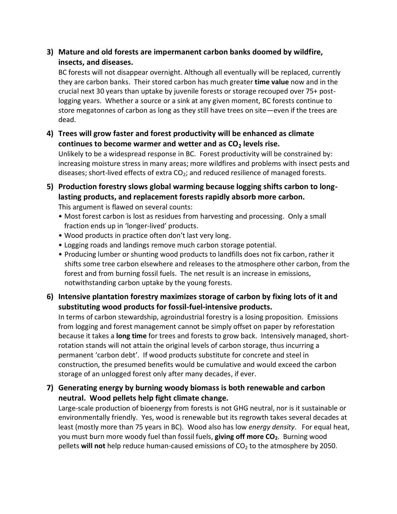## **3) Mature and old forests are impermanent carbon banks doomed by wildfire, insects, and diseases.**

BC forests will not disappear overnight. Although all eventually will be replaced, currently they are carbon banks. Their stored carbon has much greater **time value** now and in the crucial next 30 years than uptake by juvenile forests or storage recouped over 75+ postlogging years. Whether a source or a sink at any given moment, BC forests continue to store megatonnes of carbon as long as they still have trees on site—even if the trees are dead.

**4) Trees will grow faster and forest productivity will be enhanced as climate continues to become warmer and wetter and as CO<sup>2</sup> levels rise.** 

Unlikely to be a widespread response in BC. Forest productivity will be constrained by: increasing moisture stress in many areas; more wildfires and problems with insect pests and diseases; short-lived effects of extra  $CO<sub>2</sub>$ ; and reduced resilience of managed forests.

**5) Production forestry slows global warming because logging shifts carbon to longlasting products, and replacement forests rapidly absorb more carbon.** 

This argument is flawed on several counts:

- Most forest carbon is lost as residues from harvesting and processing. Only a small fraction ends up in 'longer-lived' products.
- Wood products in practice often don't last very long.
- Logging roads and landings remove much carbon storage potential.
- Producing lumber or shunting wood products to landfills does not fix carbon, rather it shifts some tree carbon elsewhere and releases to the atmosphere other carbon, from the forest and from burning fossil fuels. The net result is an increase in emissions, notwithstanding carbon uptake by the young forests.
- **6) Intensive plantation forestry maximizes storage of carbon by fixing lots of it and substituting wood products for fossil-fuel-intensive products.**

In terms of carbon stewardship, agroindustrial forestry is a losing proposition. Emissions from logging and forest management cannot be simply offset on paper by reforestation because it takes a **long time** for trees and forests to grow back. Intensively managed, shortrotation stands will not attain the original levels of carbon storage, thus incurring a permanent 'carbon debt'. If wood products substitute for concrete and steel in construction, the presumed benefits would be cumulative and would exceed the carbon storage of an unlogged forest only after many decades, if ever.

**7) Generating energy by burning woody biomass is both renewable and carbon neutral. Wood pellets help fight climate change.** 

Large-scale production of bioenergy from forests is not GHG neutral, nor is it sustainable or environmentally friendly. Yes, wood is renewable but its regrowth takes several decades at least (mostly more than 75 years in BC). Wood also has low *energy density*. For equal heat, you must burn more woody fuel than fossil fuels, **giving off more CO2**. Burning wood pellets will not help reduce human-caused emissions of CO<sub>2</sub> to the atmosphere by 2050.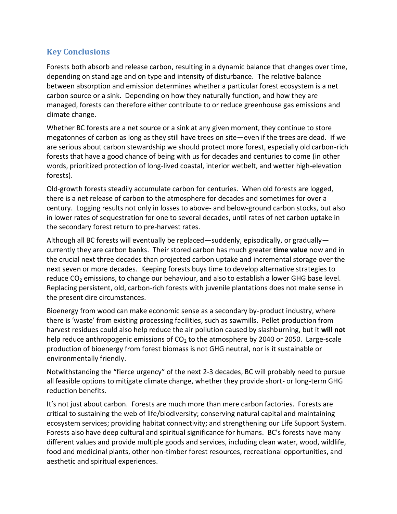# **Key Conclusions**

Forests both absorb and release carbon, resulting in a dynamic balance that changes over time, depending on stand age and on type and intensity of disturbance. The relative balance between absorption and emission determines whether a particular forest ecosystem is a net carbon source or a sink. Depending on how they naturally function, and how they are managed, forests can therefore either contribute to or reduce greenhouse gas emissions and climate change.

Whether BC forests are a net source or a sink at any given moment, they continue to store megatonnes of carbon as long as they still have trees on site—even if the trees are dead. If we are serious about carbon stewardship we should protect more forest, especially old carbon-rich forests that have a good chance of being with us for decades and centuries to come (in other words, prioritized protection of long-lived coastal, interior wetbelt, and wetter high-elevation forests).

Old-growth forests steadily accumulate carbon for centuries. When old forests are logged, there is a net release of carbon to the atmosphere for decades and sometimes for over a century. Logging results not only in losses to above- and below-ground carbon stocks, but also in lower rates of sequestration for one to several decades, until rates of net carbon uptake in the secondary forest return to pre-harvest rates.

Although all BC forests will eventually be replaced—suddenly, episodically, or gradually currently they are carbon banks. Their stored carbon has much greater **time value** now and in the crucial next three decades than projected carbon uptake and incremental storage over the next seven or more decades. Keeping forests buys time to develop alternative strategies to reduce  $CO<sub>2</sub>$  emissions, to change our behaviour, and also to establish a lower GHG base level. Replacing persistent, old, carbon-rich forests with juvenile plantations does not make sense in the present dire circumstances.

Bioenergy from wood can make economic sense as a secondary by-product industry, where there is 'waste' from existing processing facilities, such as sawmills. Pellet production from harvest residues could also help reduce the air pollution caused by slashburning, but it **will not** help reduce anthropogenic emissions of  $CO<sub>2</sub>$  to the atmosphere by 2040 or 2050. Large-scale production of bioenergy from forest biomass is not GHG neutral, nor is it sustainable or environmentally friendly.

Notwithstanding the "fierce urgency" of the next 2-3 decades, BC will probably need to pursue all feasible options to mitigate climate change, whether they provide short- or long-term GHG reduction benefits.

It's not just about carbon. Forests are much more than mere carbon factories. Forests are critical to sustaining the web of life/biodiversity; conserving natural capital and maintaining ecosystem services; providing habitat connectivity; and strengthening our Life Support System. Forests also have deep cultural and spiritual significance for humans. BC's forests have many different values and provide multiple goods and services, including clean water, wood, wildlife, food and medicinal plants, other non-timber forest resources, recreational opportunities, and aesthetic and spiritual experiences.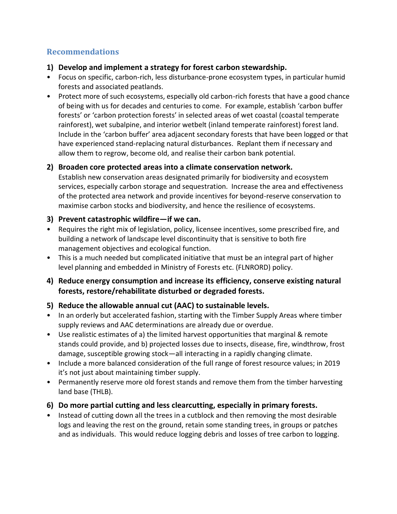## **Recommendations**

- **1) Develop and implement a strategy for forest carbon stewardship.**
- Focus on specific, carbon-rich, less disturbance-prone ecosystem types, in particular humid forests and associated peatlands.
- Protect more of such ecosystems, especially old carbon-rich forests that have a good chance of being with us for decades and centuries to come. For example, establish 'carbon buffer forests' or 'carbon protection forests' in selected areas of wet coastal (coastal temperate rainforest), wet subalpine, and interior wetbelt (inland temperate rainforest) forest land. Include in the 'carbon buffer' area adjacent secondary forests that have been logged or that have experienced stand-replacing natural disturbances. Replant them if necessary and allow them to regrow, become old, and realise their carbon bank potential.

#### **2) Broaden core protected areas into a climate conservation network.**

Establish new conservation areas designated primarily for biodiversity and ecosystem services, especially carbon storage and sequestration. Increase the area and effectiveness of the protected area network and provide incentives for beyond-reserve conservation to maximise carbon stocks and biodiversity, and hence the resilience of ecosystems.

#### **3) Prevent catastrophic wildfire—if we can.**

- Requires the right mix of legislation, policy, licensee incentives, some prescribed fire, and building a network of landscape level discontinuity that is sensitive to both fire management objectives and ecological function.
- This is a much needed but complicated initiative that must be an integral part of higher level planning and embedded in Ministry of Forests etc. (FLNRORD) policy.

#### **4) Reduce energy consumption and increase its efficiency, conserve existing natural forests, restore/rehabilitate disturbed or degraded forests.**

#### **5) Reduce the allowable annual cut (AAC) to sustainable levels.**

- In an orderly but accelerated fashion, starting with the Timber Supply Areas where timber supply reviews and AAC determinations are already due or overdue.
- Use realistic estimates of a) the limited harvest opportunities that marginal & remote stands could provide, and b) projected losses due to insects, disease, fire, windthrow, frost damage, susceptible growing stock—all interacting in a rapidly changing climate.
- Include a more balanced consideration of the full range of forest resource values; in 2019 it's not just about maintaining timber supply.
- Permanently reserve more old forest stands and remove them from the timber harvesting land base (THLB).

#### **6) Do more partial cutting and less clearcutting, especially in primary forests.**

• Instead of cutting down all the trees in a cutblock and then removing the most desirable logs and leaving the rest on the ground, retain some standing trees, in groups or patches and as individuals. This would reduce logging debris and losses of tree carbon to logging.